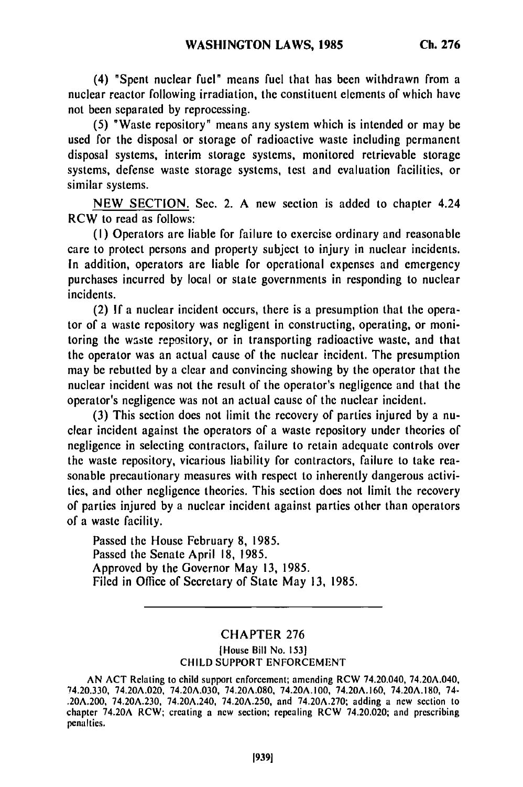(4) "Spent nuclear **fuel"** means fuel that has been withdrawn from a nuclear reactor following irradiation, the constituent elements of which have not been separated **by** reprocessing.

**(5)** "Waste repository" means any system which is intended or may be used for the disposal or storage of radioactive waste including permanent disposal systems, interim storage systems, monitored retrievable storage systems, defense waste storage systems, test and evaluation facilities, or similar systems.

NEW SECTION. Sec. 2. A new section is added to chapter 4.24 RCW to read as follows:

(I) Operators **are** liable for failure to exercise ordinary and reasonable care to protect persons and property subject to injury in nuclear incidents. In addition, operators are liable for operational expenses and emergency purchases incurred **by** local or state governments in responding to nuclear incidents.

(2) **If** a nuclear incident occurs, there is a presumption that the operator of a waste repository was negligent in constructing, operating, or monitoring the waste repository, or in transporting radioactive waste, and that the operator was an actual cause of the nuclear incident. The presumption may **be** rebutted **by** a clear and convincing showing **by** the operator that the nuclear incident was not the result of the operator's negligence and that the operator's negligence was not an actual cause of the nuclear incident.

(3) This section does not limit the recovery of parties injured **by** a nuclear incident against the operators of a waste repository under theories of negligence in selecting contractors, failure to retain adequate controls over the waste repository, vicarious liability for contractors, failure to take reasonable precautionary measures with respect to inherently dangerous activities, and other negligence theories. This section does not limit the recovery of parties injured **by** a nuclear incident against parties other than operators of a waste facility.

Passed the House February **8, 1985.** Passed the Senate April **18,** 1985. Approved **by** the Governor May 13, 1985. Filed in Office of Secretary of State May 13, **1985.**

## CHAPTER 276

## lHouse Bill No. **1531** CHILD SUPPORT ENFORCEMENT

AN ACT Relating to child support enforcement; amending RCW 74.20.040, 74.20A.040, 74.20.330, 74.20A.020, 74.20A.030, 74.20A.080, 74.20A.100, 74.20A.160, 74.20A.180, 74- .20A.200, 74.20A.230, 74.20A.240, 74.20A.250, and 74.20A.270; adding a new section to chapter 74.20A.230, 74.20A.240, 74.20A.250, and 74.20A.270; adding a new section to chapter 74.20A RCW; creating a new section; repealing RCW 74.20.020; and prescribing penalties.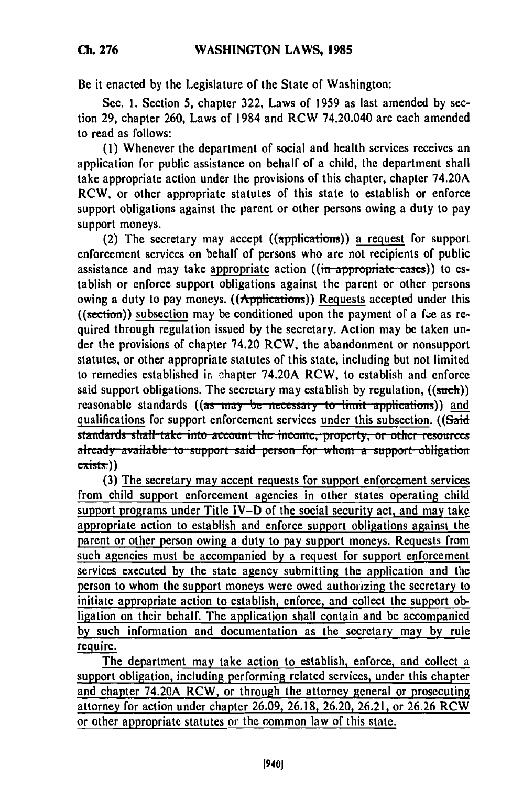Be it enacted **by** the Legislature of the State of Washington:

Sec. **I.** Section **5,** chapter **322,** Laws of **1959** as last amended **by** section **29,** chapter **260,** Laws of 1984 and RCW 74.20.040 are each amended to read as follows:

**(1)** Whenever the department of social and health services receives an application for public assistance on behalf of a child, the department shall take appropriate action under the provisions of this chapter, chapter 74.20A RCW, or other appropriate statutes of this state to establish or enforce support obligations against the parent or other persons owing a duty to pay support moneys.

(2) The secretary may accept ((applications)) a request for support enforcement services on behalf of persons who are not recipients of public assistance and may take appropriate action ((in appropriate cases)) to establish or enforce support obligations against the parent or other persons owing a duty to pay moneys.  $((\text{Applications}))$  Requests accepted under this ((section)) subsection may be conditioned upon the payment of a fie as required through regulation issued **by** the secretary. Action may be taken under the provisions of chapter 74.20 RCW, the abandonment or nonsupport statutes, or other appropriate statutes of this state, including but not limited to remedies established in shapter 74.20A RCW, to establish and enforce said support obligations. The secretary may establish **by** regulation, ((such)) reasonable standards ((as may be necessary to limit applications)) and qualifications for support enforcement services under this subsection. ((Said standards shall take into account the income, property, or other resources already available to support said person for whom a support obligation **(3)** The secretary may accept requests for support enforcement services

from child support enforcement agencies in other states operating child support programs under Title IV-D of the social security act, and may take appropriate action to establish and enforce support obligations against the parent or other person owing a duty to pay support moneys. Requests from such agencies must be accompanied **by** a request for support enforcement services executed **by** the state agency submitting the application and the person to whom the support moneys were owed authorizing the secretary to initiate appropriate action to establish, enforce, and collect the support obligation on their behalf. The application shall contain and be accompanied **by** such information and documentation as the secretary may **by** rule require.

The department may take action to establish, enforce, and collect a support obligation, including performing related services, under this chapter and chapter 74.20A RCW, or through the attorney general or prosecuting attorney for action under chapter 26.09, 26.18, 26.20, 26.21, or 26.26 RCW or other appropriate statutes or the common law of this state.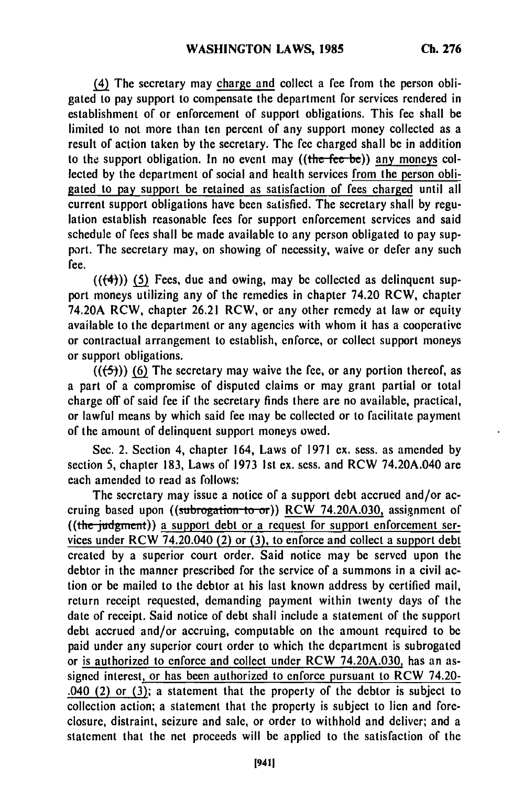**(4) The** secretary may charge and collect a fee from the person obligated to pay support to compensate the department for services rendered in establishment of or enforcement of support obligations. This fee shall be limited to not more than ten percent of any support money collected as a result of action taken **by** the secretary. The fee charged shall be in addition to the support obligation. In no event may  $((the *fee* be))$  any moneys collected **by** the department of social and health services from the person obligated to pay support be retained as satisfaction of fees charged until all current support obligations have been satisfied. The secretary shall **by** regulation establish reasonable fees for support enforcement services and said schedule of fees shall be made available to any person obligated to pay support. The secretary may, on showing of necessity, waive or defer any such fee.

 $((4))$  (5) Fees, due and owing, may be collected as delinquent support moneys utilizing any of the remedies in chapter 74.20 RCW, chapter 74.20A RCW, chapter **26.21** RCW, or any other remedy at law or equity available to the department or any agencies with whom it has a cooperative or contractual arrangement to establish, enforce, or collect support moneys or support obligations.

 $((\left\lbrace 5 \right\rbrace))$  (6) The secretary may waive the fee, or any portion thereof, as a part of a compromise of disputed claims or may grant partial or total charge off of said fee if the secretary finds there are no available, practical, or lawful means **by** which said fee may be collected or to facilitate payment of the amount of delinquent support moneys owed.

Sec. 2. Section 4, chapter 164, Laws of **1971** ex. sess. as amended **by** section **5,** chapter **183,** Laws of **1973 1st** ex. sess. and RCW 74.20A.040 are each amended to read as follows:

The secretary may issue a notice of a support debt accrued and/or accruing based upon ((subrogation to-or)) RCW **74.20A.030,** assignment of ((the judgment)) a support debt or a request for support enforcement services under RCW 74.20.040 (2) or **(3),** to enforce and collect a support debt created by a superior court order. Said notice may be served upon the debtor in the manner prescribed for the service of a summons in a civil action or be mailed to the debtor at his last known address by certified mail, return receipt requested, demanding payment within twenty days of the date of receipt. Said notice of debt shall include a statement of the support debt accrued and/or accruing, computable on the amount required to be paid under any superior court order to which the department is subrogated or is authorized to enforce and collect under RCW 74.20A.030, has an assigned interest, or has been authorized to enforce pursuant to RCW 74.20- .040 (2) or (3); a statement that the property of the debtor is subject to collection action; a statement that the property is subject to lien and foreclosure, distraint, seizure and sale, or order to withhold and deliver; and a statement that the net proceeds will be applied to the satisfaction of the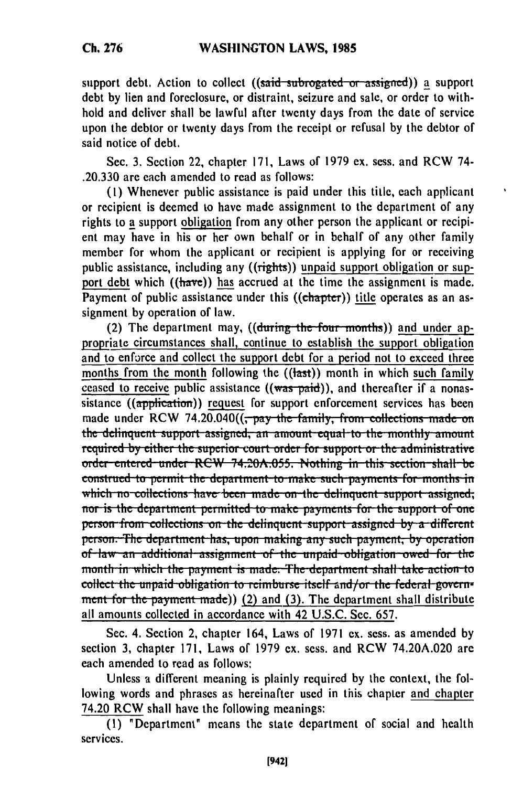support debt. Action to collect ((said subrogated or assigned)) a support debt **by** lien and foreclosure, or distraint, seizure and sale, or order to withhold and deliver shall be lawful after twenty days from the date of service upon the debtor or twenty days from the receipt or refusal **by** the debtor of said notice of debt.

Sec. **3.** Section 22, chapter **171,** Laws of **1979 cx.** sess. and RCW 74- **.20.330** are each amended to read as follows:

**(1)** Whenever public assistance is paid under this title, each applicant or recipient is deemed to have made assignment to the department of any rights to a support obligation from any other person the applicant or recipient may have in his or her own behalf or in behalf of any other family member for whom the applicant or recipient is applying for or receiving public assistance, including any ((rights)) unpaid support obligation or support debt which ((have)) has accrued at the time the assignment is made. Payment of public assistance under this ((chapter)) title operates as an assignment **by** operation of law.

(2) The department may, ((during the four months)) and under appropriate circumstances shall, continue to establish the support obligation and to enforce and collect the support debt for a period not to exceed three months from the month following the  $((\text{last}))$  month in which such family ceased to receive public assistance  $((\text{was-paid}))$ , and thereafter if a nonassistance ((application)) request for support enforcement services has been made under RCW 74.20.040(( $\frac{1}{\sqrt{2}}$  **pay the family, from collections made on** the delinguent support assigned, an amount equal to the monthly amount required by either the superior court order for support or the administrative order-entered-under-RCW 74.20A.055. Nothing in this section-shall-be construed to permit the department to make such payments for months in which no collections have been made on the delinquent support assigned; **1101 1131 is the department permitted to make payments for the support of one** person from collections on the delinquent support assigned by a different person. The department has, upon making any such payment, by operation of law an additional assignment of the unpaid obligation owed for the month in which the payment is made. The department shall take action to collect the unpaid obligation to reimburse itself and/or the federal government for the payment made)) (2) and (3). The department shall distribute all amounts collected in accordance with 42 **U.S.C.** Sec. **657.**

Sec. 4. Section 2, chapter 164, Laws of **1971** ex. sess. as amended **by** section **3,** chapter **171,** Laws of **1979** ex. sess. and RCW 74.20A.020 are each amended to read as follows:

Unless a different meaning is plainly required **by** the context, the following words and phrases as hereinafter used in this chapter and chapter 74.20 RCW shall have the following meanings:

**(1)** "Department" means the state department of social and health services.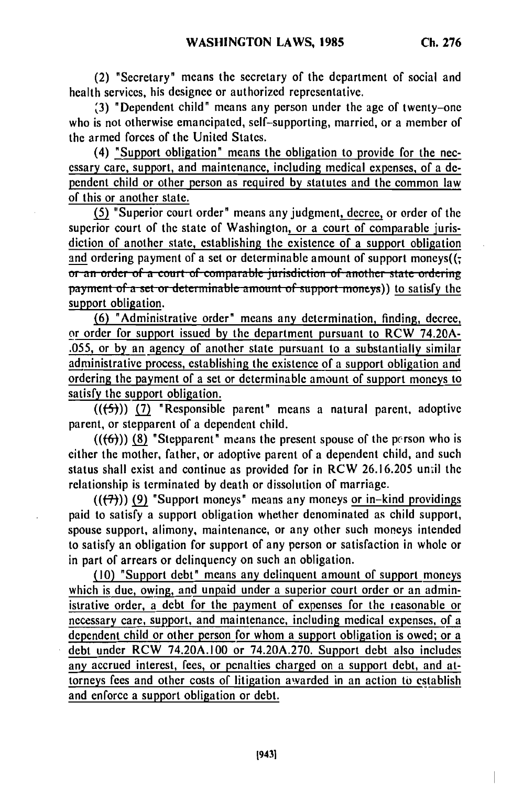(2) "Secretary" means the secretary of the department of social and health services, his designee or authorized representative.

**'3)** "Dependent child" means any person under the age of twenty-one who is not otherwise emancipated, self-supporting, married, or a member of the armed forces of the United States.

(4) "Support obligation" means the obligation to provide for the necessary care, support, and maintenance, including medical expenses, of a dependent child or other person as required by statutes and the common law of this or another state.

**(5)** "Superior court order" means any judgment, decree, or order of the superior court of the state of Washington, or a court of comparable jurisdiction of another state, establishing the existence of a support obligation and ordering payment of a set or determinable amount of support moneys((;  $\overline{or}$  an order of a court of comparable jurisdiction of another state ordering **payment of a set or determinable amount of support moneys)) to satisfy the** support obligation.

**(6)** "Administrative order" means any determination, finding, decree, or order for support issued by the department pursuant to RCW 74.20A- .055, or by an agency of another state pursuant to a substantially similar administrative process, establishing the existence of a support obligation and ordering the payment of a set or determinable amount of support moneys to satisfy the support obligation.

(((5)) **(7)** "Responsible parent" means a natural parent, adoptive parent, or stepparent of a dependent child.

 $((6))$  (8) "Stepparent" means the present spouse of the person who is either the mother, father, or adoptive parent of a dependent child, and such status shall exist and continue as provided for in RCW 26.16.205 unil the relationship is terminated by death or dissolution of marriage.

 $((\overline{(7)}))$  (9) "Support moneys" means any moneys or in-kind providings paid to satisfy a support obligation whether denominated as child support, spouse support, alimony, maintenance, or any other such moneys intended to satisfy an obligation for support of any person or satisfaction in whole or in part of arrears or delinquency on such an obligation.

**(10)** "Support debt" means any delinquent amount of support moneys which is due, owing, and unpaid under a superior court order or an administrative order, a debt for the payment of expenses for the reasonable or necessary care, support, and maintenance, including medical expenses, of a dependent child or other person for whom a support obligation is owed; or a debt under RCW 74.20A.100 or 74.20A.270. Support debt also includes any accrued interest, fees, or penalties charged on a support debt, and attorneys fees and other costs of litigation awarded in an action to establish and enforce a support obligation or debt.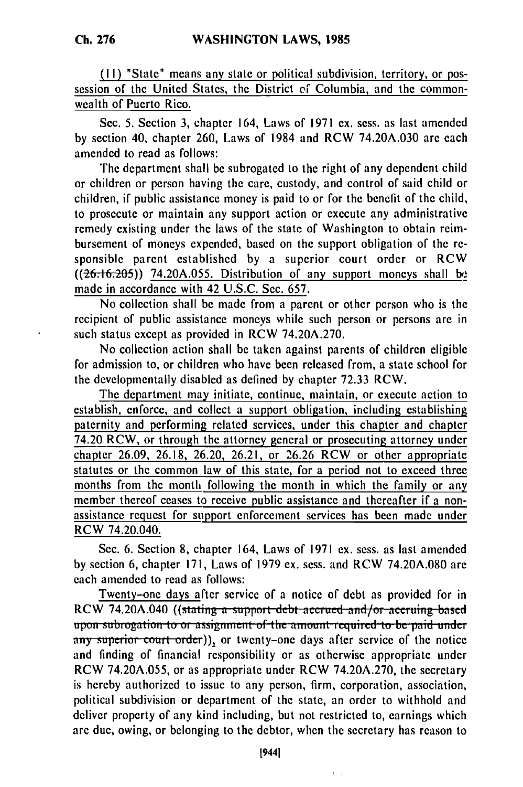**(1I)** "State" means any state or political subdivision, territory, or possession of the United States, the District *of* Columbia, and the commonwealth of Puerto Rico.

Sec. 5. Section 3, chapter 164, Laws of 1971 **ex.** sess. as last amended **by** section 40, chapter 260, Laws of 1984 and RCW 74.20A.030 are each amended to read as follows:

The department shall be subrogated to the right of any dependent child or children or person having the care, custody, and control of said child or children, if public assistance money is paid to or for the benefit of the child, to prosecute or maintain any support action or execute any administrative remedy existing under the laws of the state of Washington to obtain reimbursement of moneys expended, based on the support obligation of the responsible parent established **by** a superior court order or RCW **((26.16.205))** 74.20A.055. Distribution of any support moneys shall **b.** made in accordance with 42 U.S.C. Sec. 657.

No collection shall be made from a parent or other person who is the recipient of public assistance moneys while such person or persons are in such status except as provided in RCW 74.20A.270.

No collection action shall be taken against parents of children eligible for admission to, or children who have been released from, a state school for the developmentally disabled as defined **by** chapter **72.33** RCW.

The department may initiate, continue, maintain, or execute action to establish, enforce, and collect a support obligation, including establishing paternity and performing related services, under this chapter and chapter 74.20 RCW, or through the attorney general or prosecuting attorney under chapter 26.09, 26.18, 26.20, 26.21, or 26.26 RCW or other appropriate statutes or the common law of this state, for a period not to exceed three months from the month following the month in which the family or any member thereof ceases to receive public assistance and thereafter if a nonassistance request for support enforcement services has been made under RCW 74.20.040.

Sec. 6. Section **8,** chapter 164, Laws of 1971 ex. sess. as last amended **by** section **6,** chapter 171, Laws of 1979 ex. sess. and RCW 74.20A.080 are each amended to read as follows:

Twenty-one days after service of a notice of debt as provided for in <u>Recally the days a</u>fter service of a holice of debt as provided for in-<br>DCW 74.20A.040 ((stating a support debt account and (as acquires based.) **upon** 14.2011.040 (Stating a support ucor accrued and/or accruing base upon subrogation to or assignment of the amount required to be paid under<br>any superior court order)), or twenty-one days after service of the notice and finding of financial responsibility or as otherwise appropriate under RCW 74.20A.055, or as appropriate under RCW 74.20A.270, the secretary is hereby authorized to issue to any person, firm, corporation, association, political subdivision or department of the state, an order to withhold and deliver property of any kind including, but not restricted to, earnings which are due, owing, or belonging to the debtor, when the secretary has reason to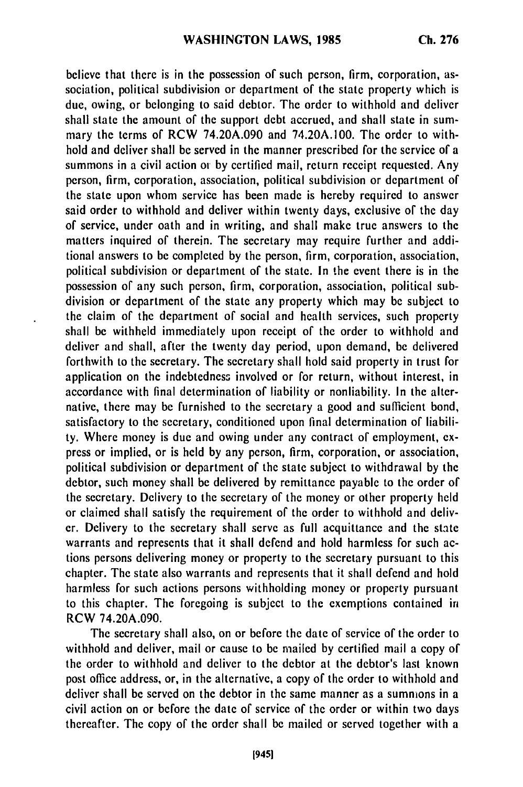believe that there is in the possession of such person, firm, corporation, association, political subdivision or department of the state property which is due, owing, or belonging to said debtor. The order to withhold and deliver shall state the amount of the support debt accrued, and shall state in summary the terms of RCW 74.20A.090 and 74.20A.100. The order to withhold and deliver shall be served in the manner prescribed for the service of a summons in a civil action or by certified mail, return receipt requested. Any person, firm, corporation, association, political subdivision or department of the state upon whom service has been made is hereby required to answer said order to withhold and deliver within twenty days, exclusive of the day of service, under oath and in writing, and shall make true answers to the matters inquired of therein. The secretary may require further and additional answers to be completed by the person, firm, corporation, association, political subdivision or department of the state. In the event there is in the possession of any such person, firm, corporation, association, political subdivision or department of the state any property which may be subject to the claim of the department of social and health services, such property shall be withheld immediately upon receipt of the order to withhold and deliver and shall, after the twenty day period, upon demand, be delivered forthwith to the secretary. The secretary shall hold said property in trust for application on the indebtedness involved or for return, without interest, in accordance with final determination of liability or nonliability. In the alternative, there may be furnished to the secretary a good and sufficient bond, satisfactory to the secretary, conditioned upon final determination of liability. Where money is due and owing under any contract of employment, express or implied, or is held by any person, firm, corporation, or association, political subdivision or department of the state subject to withdrawal by the debtor, such money shall be delivered by remittance payable to the order of the secretary. Delivery to the secretary of the money or other property held or claimed shall satisfy the requirement of the order to withhold and deliver. Delivery to the secretary shall serve as full acquittance and the state warrants and represents that it shall defend and hold harmless for such actions persons delivering money or property to the secretary pursuant to this chapter. The state also warrants and represents that it shall defend and hold harmless for such actions persons withholding money or property pursuant to this chapter. The foregoing is subject to the exemptions contained in RCW 74.20A.090.

The secretary shall also, on or before the date of service of the order to withhold and deliver, mail or cause to be mailed by certified mail a copy of the order to withhold and deliver to the debtor at the debtor's last known post office address, or, in the alternative, a copy of the order to withhold and deliver shall be served on the debtor in the same manner as a summons in a civil action on or before the date of service of the order or within two days thereafter. The copy of the order shall be mailed or served together with a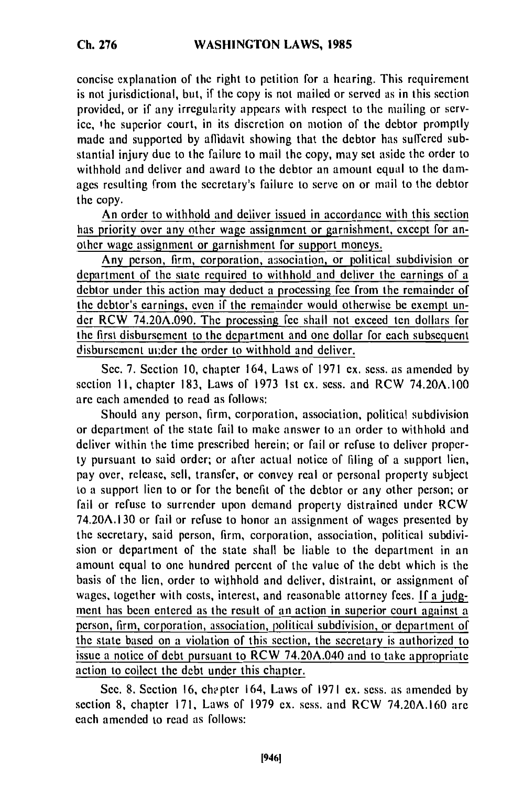concise explanation of the right to petition for a hearing. This requirement is not jurisdictional, but, if the copy is not mailed or served as in this section provided, or if any irregularity appears with respect to the mailing or service, the superior court, in its discretion on motion of the debtor promptly made and supported by affidavit showing that the debtor has suffered substantial injury due to the failure to mail the copy, may set aside the order to withhold and deliver and award to the debtor an amount equal to the damages resulting from the secretary's failure to serve on or mail to the debtor the copy.

An order to withhold and deliver issued in accordancc with this section has priority over any other wage assignment or garnishment, except for another wage assignment or garnishment for support moneys.

Any person, firm, corporation, association, or political subdivision or department of the state required to withhold and deliver the earnings of a debtor under this action may deduct a processing fee from the remainder of the debtor's earnings, even if the remainder would otherwise be exempt under RCW 74.20A.090. The processing fee shall not exceed ten dollars for the first disbursement to the department and one dollar for each subsequent disbursement ui:der the order to withhold and deliver.

Sec. 7. Section 10, chapter 164, Laws of 1971 ex. sess. as amended by section II, chapter 183, Laws of 1973 1st ex. sess. and RCW 74.20A.100 are each amended to read as follows:

Should any person, firm, corporation, association, political subdivision or department of the state fail to make answer to an order to withhold and deliver within the time prescribed herein; or fail or refuse to deliver property pursuant to said order; or after actual notice of filing of a support lien, pay over, release, sell, transfer, or convey real or personal property subject to a support lien to or for the benefit of the debtor or any other person; or fail or refuse to surrender upon demand property distrained under RCW 74.20A.130 or fail or refuse to honor an assignment of wages presented by the secretary, said person, firm, corporation, association, political subdivision or department of the state shall be liable to the department in an amount equal to one hundred percent of the value of the debt which is the basis of the lien, order to withhold and deliver, distraint, or assignment of wages, together with costs, interest, and reasonable attorney fees. If a judgment has been entered as the result of an action in superior court against a person, firm, corporation, association, political subdivision, or department of the state based on a violation of this section, the secretary is authorized to issue a notice of debt pursuant to RCW 74.20A.040 and to take appropriate action to collect the debt under this chapter.

Sec. 8. Section 16, chapter 164, Laws of 1971 ex. sess. as amended by section 8, chapter 171, Laws of 1979 ex. sess. and RCW 74.20A.160 are each amended to read as follows: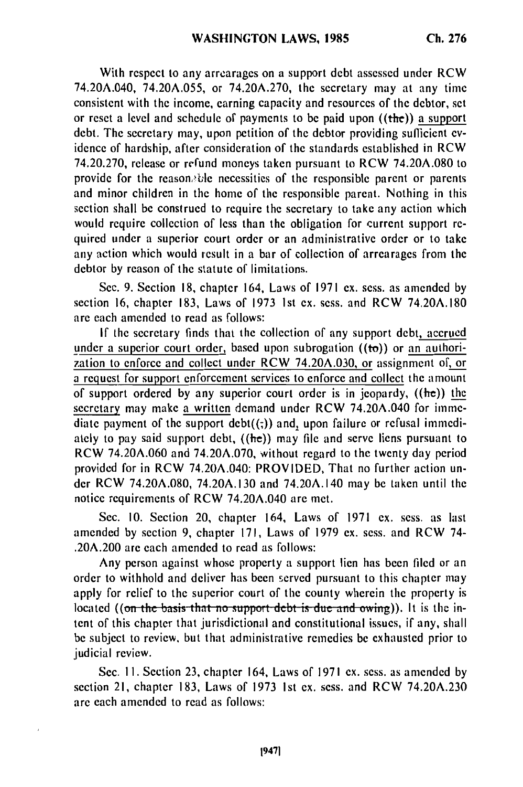With respect to any arrearages on a support debt assessed under RCW 74.20A.040, 74.20A.055, or 74.20A.270, the secretary may at any time consistent with the income, earning capacity and resources of the debtor, set or reset a level and schedule of payments to be paid upon ((the)) a support debt. The secretary may, upon petition of the debtor providing sufficient evidence of hardship, after consideration of the standards established in RCW 74.20.270, release or refund moneys taken pursuant to RCW 74.20A.080 to provide for the reasonable necessities of the responsible parent or parents and minor children in the home of the responsible parent. Nothing in this section shall be construed to require the secretary to take any action which would require collection of less than the obligation for current support required under a superior court order or an administrative order or to take any action which would result in a bar of collection of arrearages from the debtor **by** reason of the statute of limitations.

Sec. 9. Section **18,** chapter 164, Laws of 1971 ex. sess. as amended by section 16, chapter 183, Laws of 1973 1st **ex.** sess. and RCW 74.20A.180 are each amended to read as follows:

If the secretary finds that the collection of any support debt, accrued under a superior court order, based upon subrogation  $((to))$  or an authorization to enforce and collect under RCW 74.20A.030, or assignment of, or a request for support enforcement services to enforce and collect the amount of support ordered by any superior court order is in jeopardy,  $((he))$  the secretary may make a written demand under RCW 74.20A.040 for immediate payment of the support  $det((\tau))$  and, upon failure or refusal immediately to pay said support debt,  $((he))$  may file and serve liens pursuant to RCW 74.20A.060 and 74.20A.070, without regard to the twenty day period provided for in RCW 74.20A.040: PROVIDED, That no further action under RCW 74.20A.080, 74.20A.130 and 74.20A.140 may be taken until the notice requirements of RCW 74.20A.040 are met.

Sec. 10. Section 20, chapter 164, Laws of 1971 ex. sess. as last amended by section 9, chapter 171, Laws of 1979 ex. sess. and RCW 74- .20A.200 are each amended to read as follows:

Any person against whose property a support lien has been filed or an order to withhold and deliver has been served pursuant to this chapter may apply for relief to the superior court of the county wherein the property is located ((on the basis that no support debt is due and owing)). It is the intent of this chapter that jurisdictional and constitutional issues, if any, shall be subject to review, but that administrative remedies be exhausted prior to judicial review.

Sec. II. Section 23, chapter 164, Laws of 1971 ex. sess. as amended by section 21, chapter 183, Laws of 1973 Ist ex. sess. and RCW 74.20A.230 are each amended to read as follows: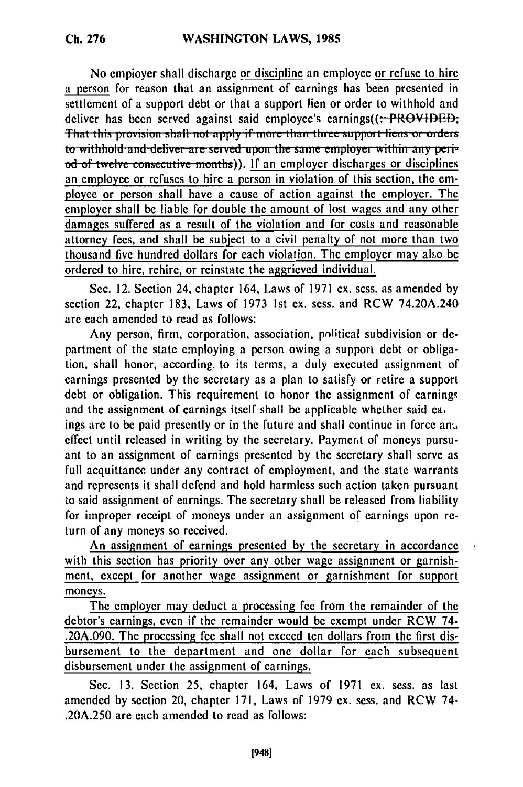No employer shall discharge or discipline an employee or refuse to hire a person for reason that an assignment of earnings has been presented in settlement of a support debt or that a support lien or order to withhold and deliver has been served against said employee's earnings $(($ : **PROVIDED**; **That this provision shall not apply if more than three support liens or orders** to withhold and deliver are served upon the same employer within any peri-<br>od of twelve consecutive months)). If an employer discharges or disciplines an employee or refuses to hire a person in violation of this section, the employee or person shall have a cause of action against the employer. The employer shall be liable for double the amount of lost wages and any other damages suffered as a result of the violation and for costs and reasonable attorney fees, and shall be subject to a civil penalty of not more than two thousand five hundred dollars for each violation. The employer may also be ordered to hire, rehire, or reinstate the aggrieved individual.

Sec. 12. Section 24, chapter 164, Laws of 1971 ex. sess. as amended by section 22, chapter 183, Laws of 1973 Ist ex. sess. and RCW 74.20A.240 are each amended to read as follows:

Any person, firm, corporation, association, political subdivision or department of the state employing a person owing a support debt or obligation, shall honor, according. to its terms, a duly executed assignment of earnings presented by the secretary as a plan to satisfy or retire a support debt or obligation. This requirement to honor the assignment of earnings and the assignment of earnings itself shall be applicable whether said ea,

ings are to be paid presently or in the future and shall continue in force an'a effect until released in writing by the secretary. Payment of moneys pursuant to an assignment of earnings presented by the secretary shall serve as full acquittance under any contract of employment, and the state warrants and represents it shall defend and hold harmless such action taken pursuant to said assignment of earnings. The secretary shall be released from liability for improper receipt of moneys under an assignment of earnings upon return of any moneys so received.

An assignment of earnings presented by the secretary in accordance with this section has priority over any other wage assignment or garnishment, except for another wage assignment or garnishment for support moneys.

The employer may deduct a processing fee from the remainder of the debtor's earnings, even if the remainder would be exempt under RCW 74- .20A.090. The processing fee shall not exceed ten dollars from the first disbursement to the department and one dollar for each subsequent disbursement under the assignment of earnings.

Sec. 13. Section 25, chapter 164, Laws of 1971 ex. sess. as last amended by section 20, chapter 171, Laws of 1979 ex. sess. and RCW 74- .20A.250 are each amended to read as follows: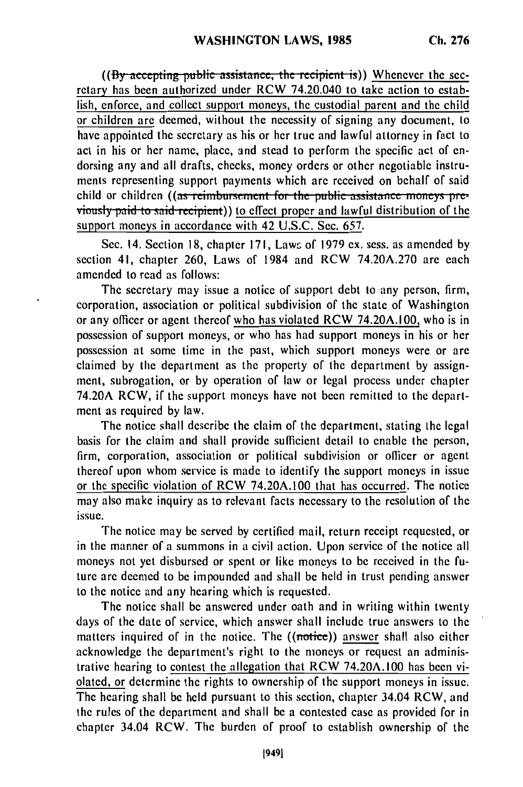**((By accepting public assistance, the recipient is))** Whenever the secretary has been authorized under RCW 74.20.040 to take action to establish, enforce, and collect support moneys, the custodial parent and the child or children are deemed, without the necessity of signing any document, to have appointed the secretary as his or her true and lawful attorney in fact to act in his or her name, place, and stead to perform the specific act of endorsing any and all drafts, checks, money orders or other negotiable instruments representing support payments which are received on behalf of said child or children ((as reimbursement for the public assistance moneys pre**viously paid to said recipient))** to effect proper and lawful distribution of the support moneys in accordance with 42 U.S.C. Sec. 657.

Sec. 14. Section 18, chapter 171, Laws of 1979 ex. sess. as amended by section 41, chapter 260, Laws of 1984 and RCW 74.20A.270 are each amended to read as follows:

The secretary may issue a notice of support debt to any person, firm, corporation, association or political subdivision of the state of Washington or any officer or agent thereof who has violated RCW 74.20A.100, who is in possession of support moneys, or who has had support moneys in his or her possession at some time in the past, which support moneys were or are claimed by the department as the property of the department by assignment, subrogation, or by operation of law or legal process under chapter 74.20A RCW, if the support moneys have not been remitted to the department as required by law.

The notice shall describe the claim of the department, stating the legal basis for the claim and shall provide sufficient detail to enable the person, firm, corporation, association or political subdivision or officer or agent thereof upon whom service is made to identify the support moneys in issue or the specific violation of RCW 74.20A.100 that has occurred. The notice may also make inquiry as to relevant facts necessary to the resolution of the issue.

The notice may be served by certified mail, return receipt requested, or in the manner of a summons in a civil action. Upon service of the notice all moneys not yet disbursed or spent or like moneys to be received in the future are deemed to be impounded and shall be held in trust pending answer to the notice and any hearing which is requested.

The notice shall be answered under oath and in writing within twenty days of the date of service, which answer shall include true answers to the matters inquired of in the notice. The ((notice)) answer shall also either acknowledge the department's right to the moneys or request an administrative hearing to contest the allegation that RCW 74.20A.100 has been violated, or determine the rights to ownership of the support moneys in issue. The hearing shall be held pursuant to this section, chapter 34.04 RCW, and the rules of the department and shall be a contested case as provided for in chapter 34.04 RCW. The burden of proof to establish ownership of the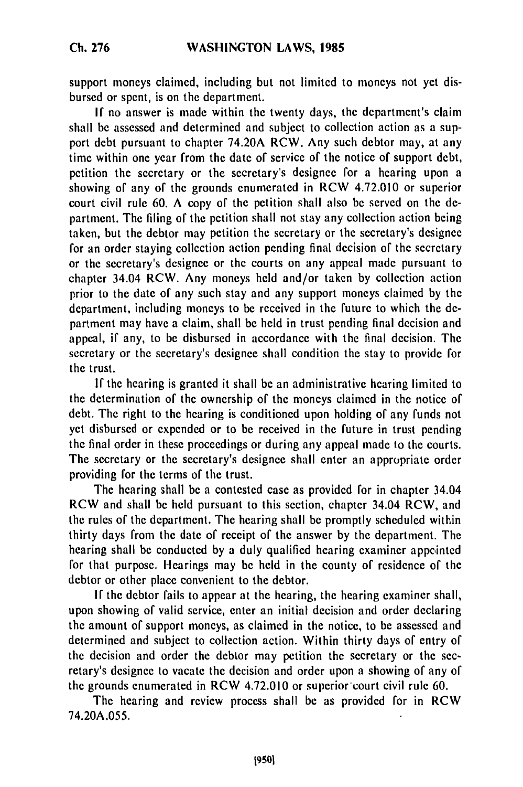support moneys claimed, including but not limited to moneys not yet disbursed or spent, is on the department.

If no answer is made within the twenty days, the department's claim shall be assessed and determined and subject to collection action as a support debt pursuant to chapter 74.20A RCW. Any such debtor may, at any time within one year from the date of service of the notice of support debt, petition the secretary or the secretary's designee for a hearing upon a showing of any of the grounds enumerated in RCW 4.72.010 or superior court civil rule 60. A copy of the petition shall also be served on the department. The filing of the petition shall not stay any collection action being taken, but the debtor may petition the secretary or the secretary's designee for an order staying collection action pending final decision of the secretary or the secretary's designee or the courts on any appeal made pursuant to chapter 34.04 RCW. Any moneys held and/or taken by collection action prior to the date of any such stay and any support moneys claimed by the department, including moneys to be received in the future to which the department may have a claim, shall be held in trust pending final decision and appeal, if any, to be disbursed in accordance with the final decision. The secretary or the secretary's designee shall condition the stay to provide for the trust.

If the hearing is granted it shall be an administrative hearing limited to the determination of the ownership of the moneys claimed in the notice of debt. The right to the hearing is conditioned upon holding of any funds not yet disbursed or expended or to be received in the future in trust pending the final order in these proceedings or during any appeal made to the courts. The secretary or the secretary's designee shall enter an appropriate order providing for the terms of the trust.

The hearing shall be a contested case as provided for in chapter 34.04 RCW and shall be held pursuant to this section, chapter 34.04 RCW, and the rules of the department. The hearing shall be promptly scheduled within thirty days from the date of receipt of the answer by the department. The hearing shall be conducted by a duly qualified hearing examiner appcinted for that purpose. Hearings may be held in the county of residence of the debtor or other place convenient to the debtor.

**If** the debtor fails to appear at the hearing, the hearing examiner shall, upon showing of valid service, enter an initial decision and order declaring the amount of support moneys, as claimed in the notice, to be assessed and determined and subject to collection action. Within thirty days of entry of the decision and order the debtor may petition the secretary or the secretary's designee to vacate the decision and order upon a showing of any of the grounds enumerated in RCW 4.72.010 or superior court civil rule 60.

The hearing and review process shall be as provided for in RCW 74.20A.055.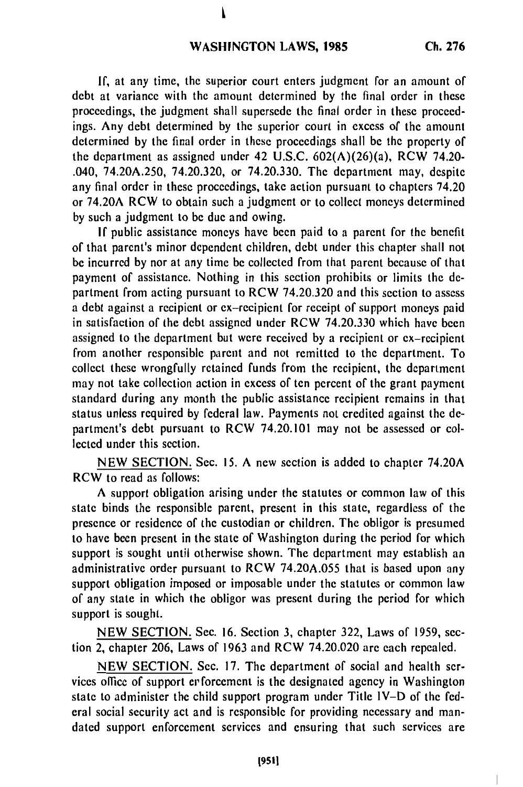## **WASHINGTON LAWS, 1985**

If, at any time, the superior court enters judgment for an amount of debt at variance with the amount determined by the final order in these proceedings, the judgment shall supersede the final order in these proceedings. Any debt determined by the superior court in excess of the amount determined by the final order in these proceedings shall be the property of the department as assigned under 42 U.S.C.  $602(A)(26)(a)$ , RCW 74.20-.040, 74.20A.250, 74.20.320, or 74.20.330. The department may, despite any final order in these proceedings, take action pursuant to chapters 74.20 or 74.20A RCW to obtain such a judgment or to collect moneys determined by such a judgment to be due and owing.

If public assistance moneys have been paid to a parent for the benefit of that parent's minor dependent children, debt under this chapter shall not be incurred by nor at any time be collected from that parent because of that payment of assistance. Nothing in this section prohibits or limits the department from acting pursuant to RCW 74.20.320 and this section to assess a debt against a recipient or ex-recipient for receipt of support moneys paid in satisfaction of the debt assigned under RCW 74.20.330 which have been assigned to the department but were received by a recipient or ex-recipient from another responsible parent and not remitted to the department. To collect these wrongfully retained funds from the recipient, the department may not take collection action in excess of ten percent of the grant payment standard during any month the public assistance recipient remains in that status unless required by federal law. Payments not credited against the department's debt pursuant to RCW 74.20.101 may not be assessed or collected under this section.

NEW SECTION. Sec. 15. A new section is added to chapter 74.20A RCW to read as follows:

A support obligation arising under the statutes or common law of this state binds the responsible parent, present in this state, regardless of the presence or residence of the custodian or children. The obligor is presumed to have been present in the state of Washington during the period for which support is sought until otherwise shown. The department may establish an administrative order pursuant to RCW 74.20A.055 that is based upon any support obligation imposed or imposable under the statutes or common law of any state in which the obligor was present during the period for which support is sought.

NEW SECTION. Sec. 16. Section 3, chapter 322, Laws of 1959, section 2, chapter 206, Laws of 1963 and RCW 74.20.020 are each repealed.

NEW SECTION. Sec. 17. The department of social and health services office of support erforcement is the designated agency in Washington state to administer the child support program under Title IV-D of the federal social security act and is responsible for providing necessary and mandated support enforcement services and ensuring that such services are